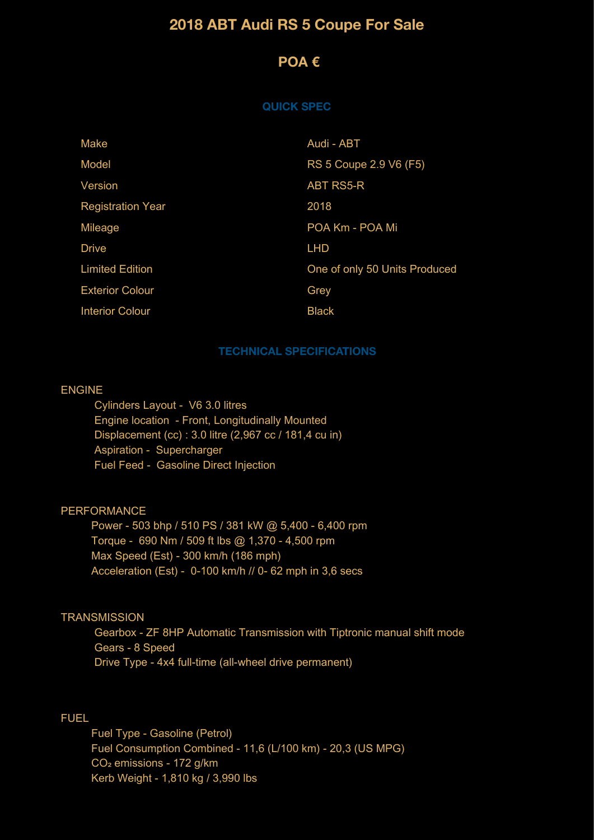# **2018 ABT Audi RS 5 Coupe For Sale**

## **POA €**

#### **QUICK SPEC**

| Make                     | Audi - ABT                    |
|--------------------------|-------------------------------|
| Model                    | RS 5 Coupe 2.9 V6 (F5)        |
| Version                  | <b>ABT RS5-R</b>              |
| <b>Registration Year</b> | 2018                          |
| Mileage                  | POA Km - POA Mi               |
| <b>Drive</b>             | <b>LHD</b>                    |
| <b>Limited Edition</b>   | One of only 50 Units Produced |
| <b>Exterior Colour</b>   | Grey                          |
| <b>Interior Colour</b>   | <b>Black</b>                  |

#### **TECHNICAL SPECIFICATIONS**

#### ENGINE

 Cylinders Layout - V6 3.0 litres Engine location - Front, Longitudinally Mounted Displacement (cc) : 3.0 litre (2,967 cc / 181,4 cu in) Aspiration - Supercharger Fuel Feed - Gasoline Direct Injection

### PERFORMANCE

 Power - 503 bhp / 510 PS / 381 kW @ 5,400 - 6,400 rpm Torque - 690 Nm / 509 ft lbs @ 1,370 - 4,500 rpm Max Speed (Est) - 300 km/h (186 mph) Acceleration (Est) - 0-100 km/h // 0- 62 mph in 3,6 secs

## **TRANSMISSION**

 Gearbox - ZF 8HP Automatic Transmission with Tiptronic manual shift mode Gears - 8 Speed Drive Type - 4x4 full-time (all-wheel drive permanent)

## FUEL

 Fuel Type - Gasoline (Petrol) Fuel Consumption Combined - 11,6 (L/100 km) - 20,3 (US MPG) CO<sub>2</sub> emissions - 172 g/km Kerb Weight - 1,810 kg / 3,990 lbs